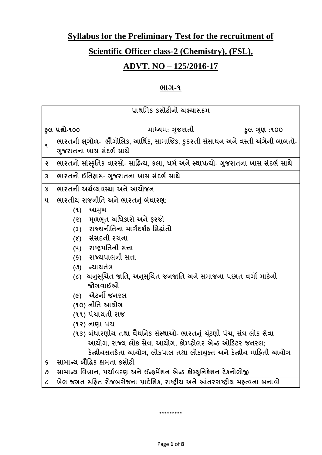# **Syllabus for the Preliminary Test for the recruitment of**

# **Scientific Officer class-2 (Chemistry), (FSL),**

# **ADVT. NO – 125/2016-17**

## **ભાગ-૧**

| પ્રાથમિક કસોટીનો અભ્યાસક્રમ |                                                                                     |  |  |  |
|-----------------------------|-------------------------------------------------------------------------------------|--|--|--|
|                             |                                                                                     |  |  |  |
|                             | કૂલ પ્રશ્નો-૧૦૦<br>માધ્યમ: ગુજરાતી<br>કુલ ગુણ :૧૦૦                                  |  |  |  |
| ٩                           | ભારતની ભૂગોળ- ભૌગોલિક, આર્થિક, સામાજિક, કુદરતી સંસાધન અને વસ્તી અંગેની બાબતો-       |  |  |  |
|                             | ગુજરાતના ખાસ સંદર્ભ સાથે                                                            |  |  |  |
| $\mathsf{S}$                | ભારતનો સાંસ્કૃતિક વારસો- સાહિત્ય, કલા, ધર્મ અને સ્થાપત્યો- ગુજરાતના ખાસ સંદર્ભ સાથે |  |  |  |
| $\overline{3}$              | ભારતનો ઈતિહ્વસ- ગુજરાતના ખાસ સંદર્ભ સાથે                                            |  |  |  |
| $\mathsf{x}$                | ભારતની અર્થવ્યવસ્થા અને આયોજન                                                       |  |  |  |
| ૫                           | <u>ભારતીય રાજનીતિ અને ભારતનું બંધારણ:</u>                                           |  |  |  |
|                             | આમુખ<br>(9)                                                                         |  |  |  |
|                             | મૂળભૂત અધિકારો અને ફરજો<br>(5)                                                      |  |  |  |
|                             | રાજ્યનીતિના માર્ગદર્શક સિદ્ધાંતો<br>(3)                                             |  |  |  |
|                             | (४) સંસદની રચના                                                                     |  |  |  |
|                             | (૫) રાષ્ટ્રપતિની સત્તા                                                              |  |  |  |
|                             | (९) राज्यपालनी सत्ता                                                                |  |  |  |
|                             | (૭) ન્યાયતંત્ર                                                                      |  |  |  |
|                             | (૮)  અનુસૂચિત જાતિ, અનુસૂચિત જનજાતિ અને સમાજના પછાત વર્ગો માટેની                    |  |  |  |
|                             | જોગવાઈઓ                                                                             |  |  |  |
|                             | (૯) એટર્ની જનરલ                                                                     |  |  |  |
|                             | (૧૦) નીતિ આયોગ                                                                      |  |  |  |
|                             | (૧૧) પંચાયતી રાજ                                                                    |  |  |  |
|                             | (૧૨) નાણા પંચ                                                                       |  |  |  |
|                             | (૧૩) બંધારણીય તથા વૈધનિક સંસ્થાઓ- ભારતનું ચૂંટણી પંચ, સંઘ લોક સેવા                  |  |  |  |
|                             | આયોગ, રાજ્ય લોક સેવા આયોગ, કોમ્પ્ટ્રોલર એન્ડ ઓડિટર જનરલ;                            |  |  |  |
|                             | કેન્દ્રીયસતર્કતા આયોગ, લોકપાલ તથા લોકાયુક્ત અને કેન્દ્રીય માહિતી આયોગ               |  |  |  |
| S                           | સામાન્ચ બૌદ્ધિક ક્ષમતા કસોટી                                                        |  |  |  |
| ৩                           | સામાન્ય વિજ્ઞાન, પર્યાવરણ અને ઈન્ફર્મેશન એન્ડ કોમ્યુનિકેશન ટેકનોલોજી                |  |  |  |
| $\mathcal{C}_{\mathcal{C}}$ | ખેલ જગત સહિત રોજબરોજના પ્રાદેશિક, રાષ્ટ્રીય અને આંતરરાષ્ટ્રીય મહ્ત્વના બનાવો        |  |  |  |

\*\*\*\*\*\*\*\*\*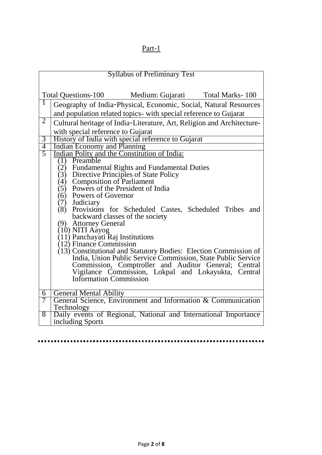# Part-1

| <b>Syllabus of Preliminary Test</b> |                                                                                                                                  |  |  |  |  |
|-------------------------------------|----------------------------------------------------------------------------------------------------------------------------------|--|--|--|--|
|                                     |                                                                                                                                  |  |  |  |  |
|                                     | Total Questions-100 Medium: Gujarati Total Marks-100                                                                             |  |  |  |  |
| 1                                   | Geography of India-Physical, Economic, Social, Natural Resources                                                                 |  |  |  |  |
|                                     |                                                                                                                                  |  |  |  |  |
| $\overline{2}$                      | and population related topics- with special reference to Gujarat                                                                 |  |  |  |  |
|                                     | Cultural heritage of India-Literature, Art, Religion and Architecture-                                                           |  |  |  |  |
|                                     | with special reference to Gujarat                                                                                                |  |  |  |  |
|                                     | $\overline{3}$<br>History of India with special reference to Gujarat                                                             |  |  |  |  |
|                                     | $\overline{4}$<br>Indian Economy and Planning                                                                                    |  |  |  |  |
| $\overline{5}$                      | Indian Polity and the Constitution of India:                                                                                     |  |  |  |  |
|                                     | Preamble<br>(1)                                                                                                                  |  |  |  |  |
|                                     | (2) Fundamental Rights and Fundamental Duties                                                                                    |  |  |  |  |
|                                     | (3) Directive Principles of State Policy<br>(4) Composition of Parliament                                                        |  |  |  |  |
|                                     | Powers of the President of India<br>(5)                                                                                          |  |  |  |  |
|                                     | (6) Powers of Governor                                                                                                           |  |  |  |  |
|                                     | (7) Judiciary                                                                                                                    |  |  |  |  |
|                                     | (8) Provisions for Scheduled Castes, Scheduled Tribes and                                                                        |  |  |  |  |
|                                     | backward classes of the society                                                                                                  |  |  |  |  |
|                                     | (9) Attorney General                                                                                                             |  |  |  |  |
|                                     | (10) NITI Aayog                                                                                                                  |  |  |  |  |
|                                     | (11) Panchayati Raj Institutions                                                                                                 |  |  |  |  |
|                                     | $(12)$ Finance Commission                                                                                                        |  |  |  |  |
|                                     | (13) Constitutional and Statutory Bodies: Election Commission of<br>India, Union Public Service Commission, State Public Service |  |  |  |  |
|                                     | Commission, Comptroller and Auditor General; Central                                                                             |  |  |  |  |
|                                     | Vigilance Commission, Lokpal and Lokayukta, Central                                                                              |  |  |  |  |
|                                     | <b>Information Commission</b>                                                                                                    |  |  |  |  |
|                                     |                                                                                                                                  |  |  |  |  |
| $\overline{6}$                      | <b>General Mental Ability</b>                                                                                                    |  |  |  |  |
|                                     | 7<br>General Science, Environment and Information & Communication                                                                |  |  |  |  |
|                                     | Technology                                                                                                                       |  |  |  |  |
| $\overline{8}$                      | Daily events of Regional, National and International Importance                                                                  |  |  |  |  |
|                                     | including Sports                                                                                                                 |  |  |  |  |

............. <u>------------</u>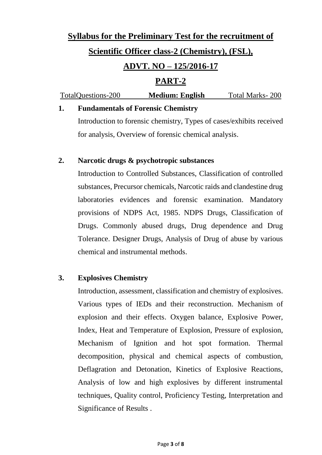# **Syllabus for the Preliminary Test for the recruitment of Scientific Officer class-2 (Chemistry), (FSL), ADVT. NO – 125/2016-17 PART-2**

| TotalQuestions-200 | <b>Medium: English</b> | Total Marks-200 |
|--------------------|------------------------|-----------------|
|                    |                        |                 |

## **1. Fundamentals of Forensic Chemistry**

Introduction to forensic chemistry, Types of cases/exhibits received for analysis, Overview of forensic chemical analysis.

#### **2. Narcotic drugs & psychotropic substances**

Introduction to Controlled Substances, Classification of controlled substances, Precursor chemicals, Narcotic raids and clandestine drug laboratories evidences and forensic examination. Mandatory provisions of NDPS Act, 1985. NDPS Drugs, Classification of Drugs. Commonly abused drugs, Drug dependence and Drug Tolerance. Designer Drugs, Analysis of Drug of abuse by various chemical and instrumental methods.

#### **3. Explosives Chemistry**

Introduction, assessment, classification and chemistry of explosives. Various types of IEDs and their reconstruction. Mechanism of explosion and their effects. Oxygen balance, Explosive Power, Index, Heat and Temperature of Explosion, Pressure of explosion, Mechanism of Ignition and hot spot formation. Thermal decomposition, physical and chemical aspects of combustion, Deflagration and Detonation, Kinetics of Explosive Reactions, Analysis of low and high explosives by different instrumental techniques, Quality control, Proficiency Testing, Interpretation and Significance of Results .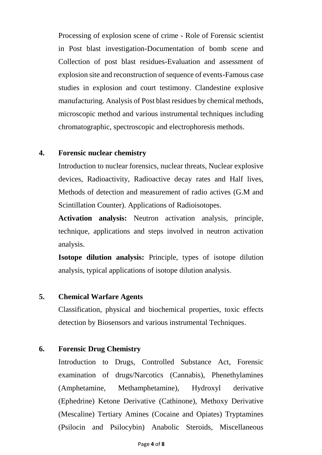Processing of explosion scene of crime - Role of Forensic scientist in Post blast investigation-Documentation of bomb scene and Collection of post blast residues-Evaluation and assessment of explosion site and reconstruction of sequence of events-Famous case studies in explosion and court testimony. Clandestine explosive manufacturing. Analysis of Post blast residues by chemical methods, microscopic method and various instrumental techniques including chromatographic, spectroscopic and electrophoresis methods.

#### **4. Forensic nuclear chemistry**

Introduction to nuclear forensics, nuclear threats, Nuclear explosive devices, Radioactivity, Radioactive decay rates and Half lives, Methods of detection and measurement of radio actives (G.M and Scintillation Counter). Applications of Radioisotopes.

**Activation analysis:** Neutron activation analysis, principle, technique, applications and steps involved in neutron activation analysis.

**Isotope dilution analysis:** Principle, types of isotope dilution analysis, typical applications of isotope dilution analysis.

#### **5. Chemical Warfare Agents**

Classification, physical and biochemical properties, toxic effects detection by Biosensors and various instrumental Techniques.

#### **6. Forensic Drug Chemistry**

Introduction to Drugs, Controlled Substance Act, Forensic examination of drugs/Narcotics (Cannabis), Phenethylamines (Amphetamine, Methamphetamine), Hydroxyl derivative (Ephedrine) Ketone Derivative (Cathinone), Methoxy Derivative (Mescaline) Tertiary Amines (Cocaine and Opiates) Tryptamines (Psilocin and Psilocybin) Anabolic Steroids, Miscellaneous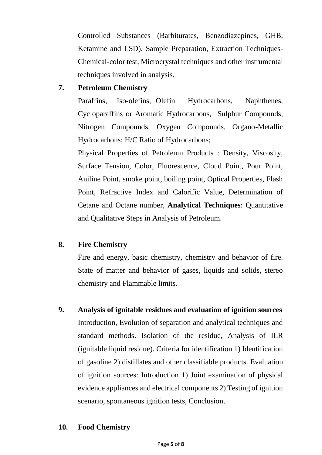Controlled Substances (Barbiturates, Benzodiazepines, GHB, Ketamine and LSD). Sample Preparation, Extraction Techniques-Chemical-color test, Microcrystal techniques and other instrumental techniques involved in analysis.

# **7. Petroleum Chemistry**

Paraffins, Iso-olefins, Olefin Hydrocarbons, Naphthenes, Cycloparaffins or Aromatic Hydrocarbons, Sulphur Compounds, Nitrogen Compounds, Oxygen Compounds, Organo-Metallic Hydrocarbons; H/C Ratio of Hydrocarbons;

Physical Properties of Petroleum Products : Density, Viscosity, Surface Tension, Color, Fluorescence, Cloud Point, Pour Point, Aniline Point, smoke point, boiling point, Optical Properties, Flash Point, Refractive Index and Calorific Value, Determination of Cetane and Octane number, **Analytical Techniques**: Quantitative and Qualitative Steps in Analysis of Petroleum.

## **8. Fire Chemistry**

Fire and energy, basic chemistry, chemistry and behavior of fire. State of matter and behavior of gases, liquids and solids, stereo chemistry and Flammable limits.

**9. Analysis of ignitable residues and evaluation of ignition sources**  Introduction, Evolution of separation and analytical techniques and standard methods. Isolation of the residue, Analysis of ILR (ignitable liquid residue). Criteria for identification 1) Identification of gasoline 2) distillates and other classifiable products. Evaluation of ignition sources: Introduction 1) Joint examination of physical evidence appliances and electrical components 2) Testing of ignition scenario, spontaneous ignition tests, Conclusion.

## **10. Food Chemistry**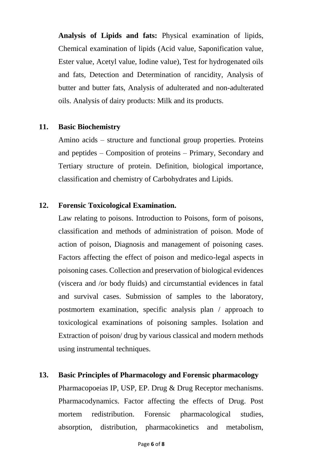**Analysis of Lipids and fats:** Physical examination of lipids, Chemical examination of lipids (Acid value, Saponification value, Ester value, Acetyl value, Iodine value), Test for hydrogenated oils and fats, Detection and Determination of rancidity, Analysis of butter and butter fats, Analysis of adulterated and non-adulterated oils. Analysis of dairy products: Milk and its products.

#### **11. Basic Biochemistry**

Amino acids – structure and functional group properties. Proteins and peptides – Composition of proteins – Primary, Secondary and Tertiary structure of protein. Definition, biological importance, classification and chemistry of Carbohydrates and Lipids.

#### **12. Forensic Toxicological Examination.**

Law relating to poisons. Introduction to Poisons, form of poisons, classification and methods of administration of poison. Mode of action of poison, Diagnosis and management of poisoning cases. Factors affecting the effect of poison and medico-legal aspects in poisoning cases. Collection and preservation of biological evidences (viscera and /or body fluids) and circumstantial evidences in fatal and survival cases. Submission of samples to the laboratory, postmortem examination, specific analysis plan / approach to toxicological examinations of poisoning samples. Isolation and Extraction of poison/ drug by various classical and modern methods using instrumental techniques.

#### **13. Basic Principles of Pharmacology and Forensic pharmacology**

Pharmacopoeias IP, USP, EP. Drug & Drug Receptor mechanisms. Pharmacodynamics. Factor affecting the effects of Drug. Post mortem redistribution. Forensic pharmacological studies, absorption, distribution, pharmacokinetics and metabolism,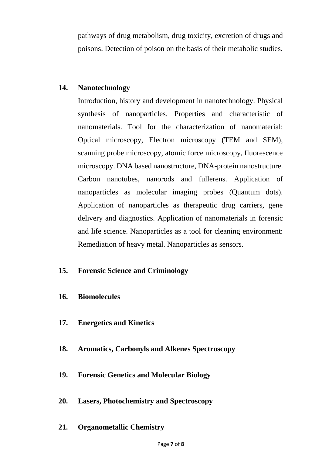pathways of drug metabolism, drug toxicity, excretion of drugs and poisons. Detection of poison on the basis of their metabolic studies.

#### **14. Nanotechnology**

Introduction, history and development in nanotechnology. Physical synthesis of nanoparticles. Properties and characteristic of nanomaterials. Tool for the characterization of nanomaterial: Optical microscopy, Electron microscopy (TEM and SEM), scanning probe microscopy, atomic force microscopy, fluorescence microscopy. DNA based nanostructure, DNA-protein nanostructure. Carbon nanotubes, nanorods and fullerens. Application of nanoparticles as molecular imaging probes (Quantum dots). Application of nanoparticles as therapeutic drug carriers, gene delivery and diagnostics. Application of nanomaterials in forensic and life science. Nanoparticles as a tool for cleaning environment: Remediation of heavy metal. Nanoparticles as sensors.

#### **15. Forensic Science and Criminology**

#### **16. Biomolecules**

- **17. Energetics and Kinetics**
- **18. Aromatics, Carbonyls and Alkenes Spectroscopy**
- **19. Forensic Genetics and Molecular Biology**
- **20. Lasers, Photochemistry and Spectroscopy**
- **21. Organometallic Chemistry**